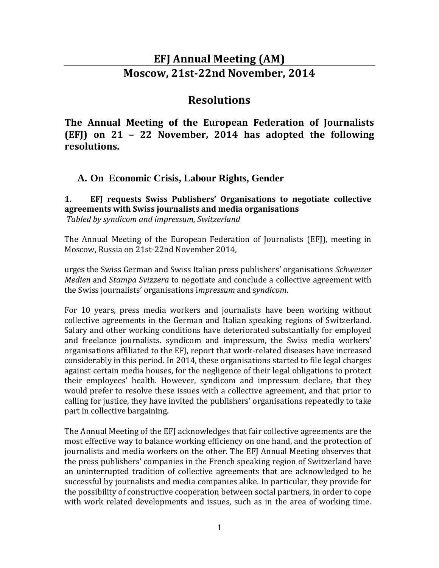# **EFJ Annual Meeting (AM) Moscow, 21st-22nd November, 2014**

# **Resolutions**

**The Annual Meeting of the European Federation of Journalists (EFJ) on 21 – 22 November, 2014 has adopted the following resolutions.** 

**A. On Economic Crisis, Labour Rights, Gender**

**1. EFJ requests Swiss Publishers' Organisations to negotiate collective agreements with Swiss journalists and media organisations** *Tabled by syndicom and impressum, Switzerland*

The Annual Meeting of the European Federation of Journalists (EFJ), meeting in Moscow, Russia on 21st-22nd November 2014,

urges the Swiss German and Swiss Italian press publishers' organisations *Schweizer Medien* and *Stampa Svizzera* to negotiate and conclude a collective agreement with the Swiss journalists' organisations i*mpressum* and s*yndicom*.

For 10 years, press media workers and journalists have been working without collective agreements in the German and Italian speaking regions of Switzerland. Salary and other working conditions have deteriorated substantially for employed and freelance journalists. syndicom and impressum, the Swiss media workers' organisations affiliated to the EFJ, report that work-related diseases have increased considerably in this period. In 2014, these organisations started to file legal charges against certain media houses, for the negligence of their legal obligations to protect their employees' health. However, syndicom and impressum declare, that they would prefer to resolve these issues with a collective agreement, and that prior to calling for justice, they have invited the publishers' organisations repeatedly to take part in collective bargaining.

The Annual Meeting of the EFJ acknowledges that fair collective agreements are the most effective way to balance working efficiency on one hand, and the protection of journalists and media workers on the other. The EFJ Annual Meeting observes that the press publishers' companies in the French speaking region of Switzerland have an uninterrupted tradition of collective agreements that are acknowledged to be successful by journalists and media companies alike. In particular, they provide for the possibility of constructive cooperation between social partners, in order to cope with work related developments and issues, such as in the area of working time.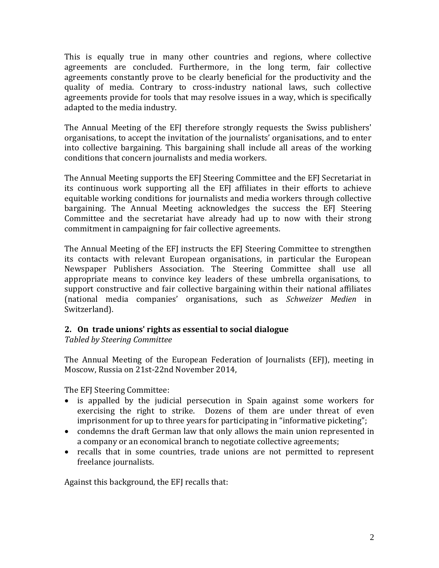This is equally true in many other countries and regions, where collective agreements are concluded. Furthermore, in the long term, fair collective agreements constantly prove to be clearly beneficial for the productivity and the quality of media. Contrary to cross-industry national laws, such collective agreements provide for tools that may resolve issues in a way, which is specifically adapted to the media industry.

The Annual Meeting of the EFJ therefore strongly requests the Swiss publishers' organisations, to accept the invitation of the journalists' organisations, and to enter into collective bargaining. This bargaining shall include all areas of the working conditions that concern journalists and media workers.

The Annual Meeting supports the EFJ Steering Committee and the EFJ Secretariat in its continuous work supporting all the EFJ affiliates in their efforts to achieve equitable working conditions for journalists and media workers through collective bargaining. The Annual Meeting acknowledges the success the EFJ Steering Committee and the secretariat have already had up to now with their strong commitment in campaigning for fair collective agreements.

The Annual Meeting of the EFJ instructs the EFJ Steering Committee to strengthen its contacts with relevant European organisations, in particular the European Newspaper Publishers Association. The Steering Committee shall use all appropriate means to convince key leaders of these umbrella organisations, to support constructive and fair collective bargaining within their national affiliates (national media companies' organisations, such as *Schweizer Medien* in Switzerland).

#### **2. On trade unions' rights as essential to social dialogue**

*Tabled by Steering Committee*

The Annual Meeting of the European Federation of Journalists (EFJ), meeting in Moscow, Russia on 21st-22nd November 2014,

The EFJ Steering Committee:

- is appalled by the judicial persecution in Spain against some workers for exercising the right to strike. Dozens of them are under threat of even imprisonment for up to three years for participating in "informative picketing";
- condemns the draft German law that only allows the main union represented in a company or an economical branch to negotiate collective agreements;
- recalls that in some countries, trade unions are not permitted to represent freelance journalists.

Against this background, the EFJ recalls that: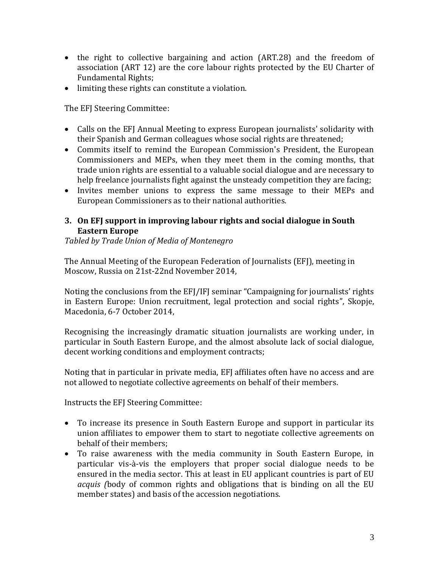- the right to collective bargaining and action (ART.28) and the freedom of association (ART 12) are the core labour rights protected by the EU Charter of Fundamental Rights;
- limiting these rights can constitute a violation.

The EFJ Steering Committee:

- Calls on the EFJ Annual Meeting to express European journalists' solidarity with their Spanish and German colleagues whose social rights are threatened;
- Commits itself to remind the European Commission's President, the European Commissioners and MEPs, when they meet them in the coming months, that trade union rights are essential to a valuable social dialogue and are necessary to help freelance journalists fight against the unsteady competition they are facing;
- Invites member unions to express the same message to their MEPs and European Commissioners as to their national authorities.

### **3. On EFJ support in improving labour rights and social dialogue in South Eastern Europe**

*Tabled by Trade Union of Media of Montenegro*

The Annual Meeting of the European Federation of Journalists (EFJ), meeting in Moscow, Russia on 21st-22nd November 2014,

Noting the conclusions from the EFJ/IFJ seminar "Campaigning for journalists' rights in Eastern Europe: Union recruitment, legal protection and social rights", Skopje, Macedonia, 6-7 October 2014,

Recognising the increasingly dramatic situation journalists are working under, in particular in South Eastern Europe, and the almost absolute lack of social dialogue, decent working conditions and employment contracts;

Noting that in particular in private media, EFJ affiliates often have no access and are not allowed to negotiate collective agreements on behalf of their members.

Instructs the EFJ Steering Committee:

- To increase its presence in South Eastern Europe and support in particular its union affiliates to empower them to start to negotiate collective agreements on behalf of their members;
- To raise awareness with the media community in South Eastern Europe, in particular vis-à-vis the employers that proper social dialogue needs to be ensured in the media sector. This at least in EU applicant countries is part of EU *acquis (*body of common rights and obligations that is binding on all the EU member states) and basis of the accession negotiations.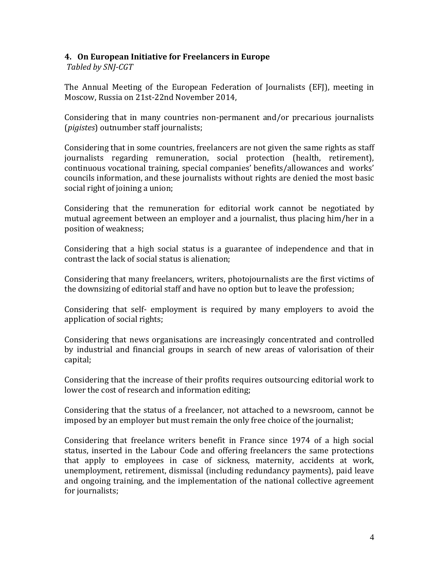#### **4. On European Initiative for Freelancers in Europe**

*Tabled by SNJ-CGT*

The Annual Meeting of the European Federation of Journalists (EFJ), meeting in Moscow, Russia on 21st-22nd November 2014,

Considering that in many countries non-permanent and/or precarious journalists (*pigistes*) outnumber staff journalists;

Considering that in some countries, freelancers are not given the same rights as staff journalists regarding remuneration, social protection (health, retirement), continuous vocational training, special companies' benefits/allowances and works' councils information, and these journalists without rights are denied the most basic social right of joining a union;

Considering that the remuneration for editorial work cannot be negotiated by mutual agreement between an employer and a journalist, thus placing him/her in a position of weakness;

Considering that a high social status is a guarantee of independence and that in contrast the lack of social status is alienation;

Considering that many freelancers, writers, photojournalists are the first victims of the downsizing of editorial staff and have no option but to leave the profession;

Considering that self- employment is required by many employers to avoid the application of social rights;

Considering that news organisations are increasingly concentrated and controlled by industrial and financial groups in search of new areas of valorisation of their capital;

Considering that the increase of their profits requires outsourcing editorial work to lower the cost of research and information editing;

Considering that the status of a freelancer, not attached to a newsroom, cannot be imposed by an employer but must remain the only free choice of the journalist;

Considering that freelance writers benefit in France since 1974 of a high social status, inserted in the Labour Code and offering freelancers the same protections that apply to employees in case of sickness, maternity, accidents at work, unemployment, retirement, dismissal (including redundancy payments), paid leave and ongoing training, and the implementation of the national collective agreement for journalists;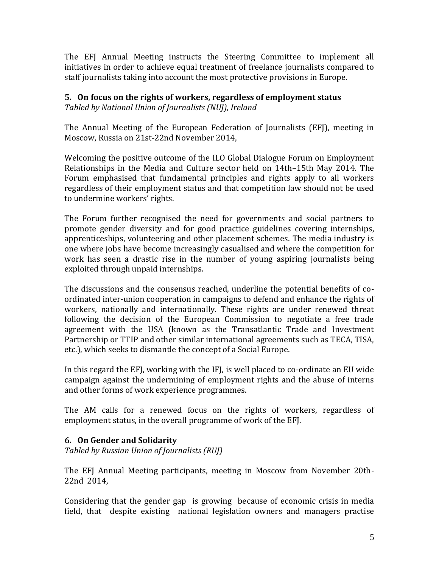The EFJ Annual Meeting instructs the Steering Committee to implement all initiatives in order to achieve equal treatment of freelance journalists compared to staff journalists taking into account the most protective provisions in Europe.

## **5. On focus on the rights of workers, regardless of employment status**

*Tabled by National Union of Journalists (NUJ), Ireland*

The Annual Meeting of the European Federation of Journalists (EFJ), meeting in Moscow, Russia on 21st-22nd November 2014,

Welcoming the positive outcome of the ILO Global Dialogue Forum on Employment Relationships in the Media and Culture sector held on 14th–15th May 2014. The Forum emphasised that fundamental principles and rights apply to all workers regardless of their employment status and that competition law should not be used to undermine workers' rights.

The Forum further recognised the need for governments and social partners to promote gender diversity and for good practice guidelines covering internships, apprenticeships, volunteering and other placement schemes. The media industry is one where jobs have become increasingly casualised and where the competition for work has seen a drastic rise in the number of young aspiring journalists being exploited through unpaid internships.

The discussions and the consensus reached, underline the potential benefits of coordinated inter-union cooperation in campaigns to defend and enhance the rights of workers, nationally and internationally. These rights are under renewed threat following the decision of the European Commission to negotiate a free trade agreement with the USA (known as the Transatlantic Trade and Investment Partnership or TTIP and other similar international agreements such as TECA, TISA, etc.), which seeks to dismantle the concept of a Social Europe.

In this regard the EFJ, working with the IFJ, is well placed to co-ordinate an EU wide campaign against the undermining of employment rights and the abuse of interns and other forms of work experience programmes.

The AM calls for a renewed focus on the rights of workers, regardless of employment status, in the overall programme of work of the EFJ.

# **6. On Gender and Solidarity**

*Tabled by Russian Union of Journalists (RUJ)*

The EFJ Annual Meeting participants, meeting in Moscow from November 20th-22nd 2014,

Considering that the gender gap is growing because of economic crisis in media field, that despite existing national legislation owners and managers practise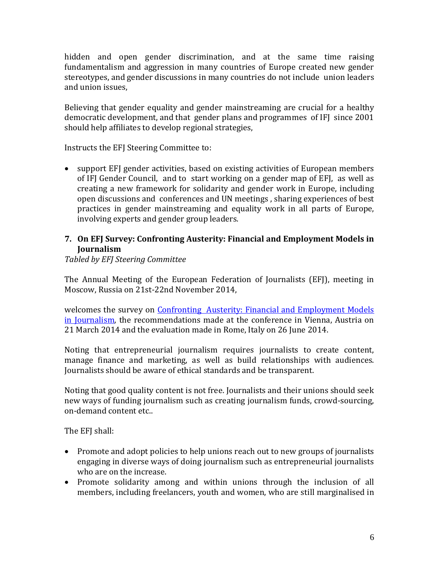hidden and open gender discrimination, and at the same time raising fundamentalism and aggression in many countries of Europe created new gender stereotypes, and gender discussions in many countries do not include union leaders and union issues,

Believing that gender equality and gender mainstreaming are crucial for a healthy democratic development, and that gender plans and programmes of IFJ since 2001 should help affiliates to develop regional strategies,

Instructs the EFJ Steering Committee to:

 support EFJ gender activities, based on existing activities of European members of IFJ Gender Council, and to start working on a gender map of EFJ, as well as creating a new framework for solidarity and gender work in Europe, including open discussions and conferences and UN meetings , sharing experiences of best practices in gender mainstreaming and equality work in all parts of Europe, involving experts and gender group leaders.

## **7. On EFJ Survey: Confronting Austerity: Financial and Employment Models in Journalism**

*Tabled by EFJ Steering Committee*

The Annual Meeting of the European Federation of Journalists (EFJ), meeting in Moscow, Russia on 21st-22nd November 2014,

welcomes the survey on [Confronting Austerity: Financial and Employment Models](http://www.ifj.org/nc/news-single-view/backpid/34/article/efj-publishes-study-on-confronting-austerity-in-journalism/)  [in Journalism,](http://www.ifj.org/nc/news-single-view/backpid/34/article/efj-publishes-study-on-confronting-austerity-in-journalism/) the recommendations made at the conference in Vienna, Austria on 21 March 2014 and the evaluation made in Rome, Italy on 26 June 2014.

Noting that entrepreneurial journalism requires journalists to create content, manage finance and marketing, as well as build relationships with audiences. Journalists should be aware of ethical standards and be transparent.

Noting that good quality content is not free. Journalists and their unions should seek new ways of funding journalism such as creating journalism funds, crowd-sourcing, on-demand content etc..

The EFJ shall:

- Promote and adopt policies to help unions reach out to new groups of journalists engaging in diverse ways of doing journalism such as entrepreneurial journalists who are on the increase.
- Promote solidarity among and within unions through the inclusion of all members, including freelancers, youth and women, who are still marginalised in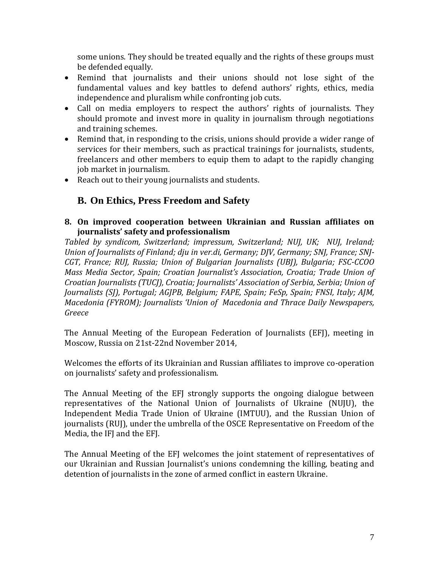some unions. They should be treated equally and the rights of these groups must be defended equally.

- Remind that journalists and their unions should not lose sight of the fundamental values and key battles to defend authors' rights, ethics, media independence and pluralism while confronting job cuts.
- Call on media employers to respect the authors' rights of journalists. They should promote and invest more in quality in journalism through negotiations and training schemes.
- Remind that, in responding to the crisis, unions should provide a wider range of services for their members, such as practical trainings for journalists, students, freelancers and other members to equip them to adapt to the rapidly changing job market in journalism.
- Reach out to their young journalists and students.

# **B. On Ethics, Press Freedom and Safety**

#### **8. On improved cooperation between Ukrainian and Russian affiliates on journalists' safety and professionalism**

*Tabled by syndicom, Switzerland; impressum, Switzerland; NUJ, UK; NUJ, Ireland; Union of Journalists of Finland; dju in ver.di, Germany; DJV, Germany; SNJ, France; SNJ-CGT, France; RUJ, Russia; Union of Bulgarian Journalists (UBJ), Bulgaria; FSC-CCOO Mass Media Sector, Spain; Croatian Journalist's Association, Croatia; Trade Union of Croatian Journalists (TUCJ), Croatia; Journalists' Association of Serbia, Serbia; Union of Journalists (SJ), Portugal; AGJPB, Belgium; FAPE, Spain; FeSp, Spain; FNSI, Italy; AJM, Macedonia (FYROM); Journalists 'Union of Macedonia and Thrace Daily Newspapers, Greece*

The Annual Meeting of the European Federation of Journalists (EFJ), meeting in Moscow, Russia on 21st-22nd November 2014,

Welcomes the efforts of its Ukrainian and Russian affiliates to improve co-operation on journalists' safety and professionalism.

The Annual Meeting of the EFJ strongly supports the ongoing dialogue between representatives of the National Union of Journalists of Ukraine (NUJU), the Independent Media Trade Union of Ukraine (IMTUU), and the Russian Union of journalists (RUJ), under the umbrella of the OSCE Representative on Freedom of the Media, the IFJ and the EFJ.

The Annual Meeting of the EFJ welcomes the joint statement of representatives of our Ukrainian and Russian Journalist's unions condemning the killing, beating and detention of journalists in the zone of armed conflict in eastern Ukraine.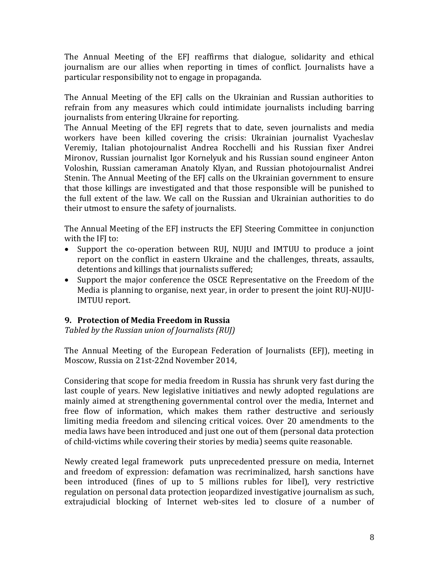The Annual Meeting of the EFJ reaffirms that dialogue, solidarity and ethical journalism are our allies when reporting in times of conflict. Journalists have a particular responsibility not to engage in propaganda.

The Annual Meeting of the EFJ calls on the Ukrainian and Russian authorities to refrain from any measures which could intimidate journalists including barring journalists from entering Ukraine for reporting.

The Annual Meeting of the EFJ regrets that to date, seven journalists and media workers have been killed covering the crisis: Ukrainian journalist Vyacheslav Veremiy, Italian photojournalist Andrea Rocchelli and his Russian fixer Andrei Mironov, Russian journalist Igor Kornelyuk and his Russian sound engineer Anton Voloshin, Russian cameraman Anatoly Klyan, and Russian photojournalist Andrei Stenin. The Annual Meeting of the EFJ calls on the Ukrainian government to ensure that those killings are investigated and that those responsible will be punished to the full extent of the law. We call on the Russian and Ukrainian authorities to do their utmost to ensure the safety of journalists.

The Annual Meeting of the EFJ instructs the EFJ Steering Committee in conjunction with the IFI to:

- Support the co-operation between RUJ, NUJU and IMTUU to produce a joint report on the conflict in eastern Ukraine and the challenges, threats, assaults, detentions and killings that journalists suffered;
- Support the major conference the OSCE Representative on the Freedom of the Media is planning to organise, next year, in order to present the joint RUJ-NUJU-IMTUU report.

# **9. Protection of Media Freedom in Russia**

*Tabled by the Russian union of Journalists (RUJ)*

The Annual Meeting of the European Federation of Journalists (EFJ), meeting in Moscow, Russia on 21st-22nd November 2014,

Considering that scope for media freedom in Russia has shrunk very fast during the last couple of years. New legislative initiatives and newly adopted regulations are mainly aimed at strengthening governmental control over the media, Internet and free flow of information, which makes them rather destructive and seriously limiting media freedom and silencing critical voices. Over 20 amendments to the media laws have been introduced and just one out of them (personal data protection of child-victims while covering their stories by media) seems quite reasonable.

Newly created legal framework puts unprecedented pressure on media, Internet and freedom of expression: defamation was recriminalized, harsh sanctions have been introduced (fines of up to 5 millions rubles for libel), very restrictive regulation on personal data protection jeopardized investigative journalism as such, extrajudicial blocking of Internet web-sites led to closure of a number of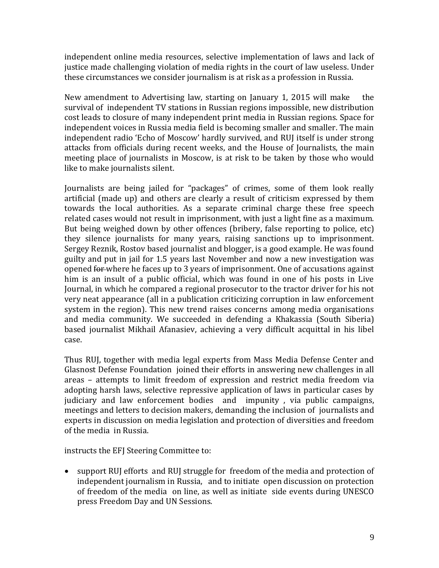independent online media resources, selective implementation of laws and lack of justice made challenging violation of media rights in the court of law useless. Under these circumstances we consider journalism is at risk as a profession in Russia.

New amendment to Advertising law, starting on January 1, 2015 will make the survival of independent TV stations in Russian regions impossible, new distribution cost leads to closure of many independent print media in Russian regions. Space for independent voices in Russia media field is becoming smaller and smaller. The main independent radio 'Echo of Moscow' hardly survived, and RUJ itself is under strong attacks from officials during recent weeks, and the House of Journalists, the main meeting place of journalists in Moscow, is at risk to be taken by those who would like to make journalists silent.

Journalists are being jailed for "packages" of crimes, some of them look really artificial (made up) and others are clearly a result of criticism expressed by them towards the local authorities. As a separate criminal charge these free speech related cases would not result in imprisonment, with just a light fine as a maximum. But being weighed down by other offences (bribery, false reporting to police, etc) they silence journalists for many years, raising sanctions up to imprisonment. Sergey Reznik, Rostov based journalist and blogger, is a good example. He was found guilty and put in jail for 1.5 years last November and now a new investigation was opened for where he faces up to 3 years of imprisonment. One of accusations against him is an insult of a public official, which was found in one of his posts in Live Journal, in which he compared a regional prosecutor to the tractor driver for his not very neat appearance (all in a publication criticizing corruption in law enforcement system in the region). This new trend raises concerns among media organisations and media community. We succeeded in defending a Khakassia (South Siberia) based journalist Mikhail Afanasiev, achieving a very difficult acquittal in his libel case.

Thus RUJ, together with media legal experts from Mass Media Defense Center and Glasnost Defense Foundation joined their efforts in answering new challenges in all areas – attempts to limit freedom of expression and restrict media freedom via adopting harsh laws, selective repressive application of laws in particular cases by judiciary and law enforcement bodies and impunity , via public campaigns, meetings and letters to decision makers, demanding the inclusion of journalists and experts in discussion on media legislation and protection of diversities and freedom of the media in Russia.

instructs the EFJ Steering Committee to:

 support RUJ efforts and RUJ struggle for freedom of the media and protection of independent journalism in Russia, and to initiate open discussion on protection of freedom of the media on line, as well as initiate side events during UNESCO press Freedom Day and UN Sessions.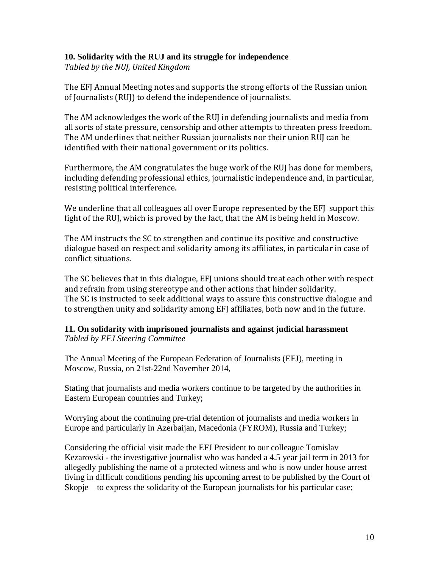#### **10. Solidarity with the RUJ and its struggle for independence**

*Tabled by the NUJ, United Kingdom*

The EFJ Annual Meeting notes and supports the strong efforts of the Russian union of Journalists (RUJ) to defend the independence of journalists.

The AM acknowledges the work of the RUJ in defending journalists and media from all sorts of state pressure, censorship and other attempts to threaten press freedom. The AM underlines that neither Russian journalists nor their union RUJ can be identified with their national government or its politics.

Furthermore, the AM congratulates the huge work of the RUJ has done for members, including defending professional ethics, journalistic independence and, in particular, resisting political interference.

We underline that all colleagues all over Europe represented by the EFJ support this fight of the RUJ, which is proved by the fact, that the AM is being held in Moscow.

The AM instructs the SC to strengthen and continue its positive and constructive dialogue based on respect and solidarity among its affiliates, in particular in case of conflict situations.

The SC believes that in this dialogue, EFJ unions should treat each other with respect and refrain from using stereotype and other actions that hinder solidarity. The SC is instructed to seek additional ways to assure this constructive dialogue and to strengthen unity and solidarity among EFJ affiliates, both now and in the future.

#### **11. On solidarity with imprisoned journalists and against judicial harassment** *Tabled by EFJ Steering Committee*

The Annual Meeting of the European Federation of Journalists (EFJ), meeting in Moscow, Russia, on 21st-22nd November 2014,

Stating that journalists and media workers continue to be targeted by the authorities in Eastern European countries and Turkey;

Worrying about the continuing pre-trial detention of journalists and media workers in Europe and particularly in Azerbaijan, Macedonia (FYROM), Russia and Turkey;

Considering the official visit made the EFJ President to our colleague Tomislav Kezarovski - the investigative journalist who was handed a 4.5 year jail term in 2013 for allegedly publishing the name of a protected witness and who is now under house arrest living in difficult conditions pending his upcoming arrest to be published by the Court of Skopje – to express the solidarity of the European journalists for his particular case;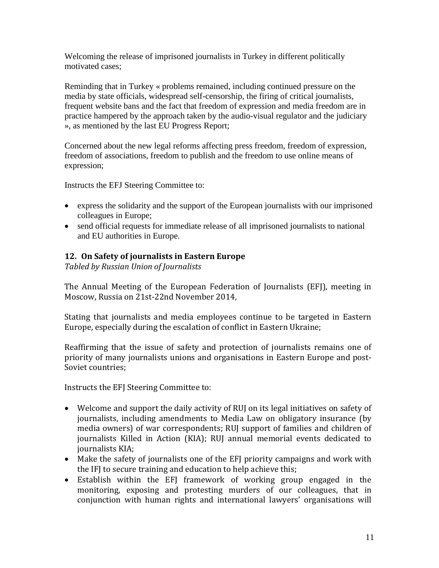Welcoming the release of imprisoned journalists in Turkey in different politically motivated cases;

Reminding that in Turkey « problems remained, including continued pressure on the media by state officials, widespread self-censorship, the firing of critical journalists, frequent website bans and the fact that freedom of expression and media freedom are in practice hampered by the approach taken by the audio-visual regulator and the judiciary », as mentioned by the last EU Progress Report;

Concerned about the new legal reforms affecting press freedom, freedom of expression, freedom of associations, freedom to publish and the freedom to use online means of expression;

Instructs the EFJ Steering Committee to:

- express the solidarity and the support of the European journalists with our imprisoned colleagues in Europe;
- send official requests for immediate release of all imprisoned journalists to national and EU authorities in Europe.

# **12. On Safety of journalists in Eastern Europe**

*Tabled by Russian Union of Journalists*

The Annual Meeting of the European Federation of Journalists (EFJ), meeting in Moscow, Russia on 21st-22nd November 2014,

Stating that journalists and media employees continue to be targeted in Eastern Europe, especially during the escalation of conflict in Eastern Ukraine;

Reaffirming that the issue of safety and protection of journalists remains one of priority of many journalists unions and organisations in Eastern Europe and post-Soviet countries;

Instructs the EFJ Steering Committee to:

- Welcome and support the daily activity of RUJ on its legal initiatives on safety of journalists, including amendments to Media Law on obligatory insurance (by media owners) of war correspondents; RUJ support of families and children of journalists Killed in Action (KIA); RUJ annual memorial events dedicated to journalists KIA;
- Make the safety of journalists one of the EFJ priority campaigns and work with the IFJ to secure training and education to help achieve this;
- Establish within the EFJ framework of working group engaged in the monitoring, exposing and protesting murders of our colleagues, that in conjunction with human rights and international lawyers' organisations will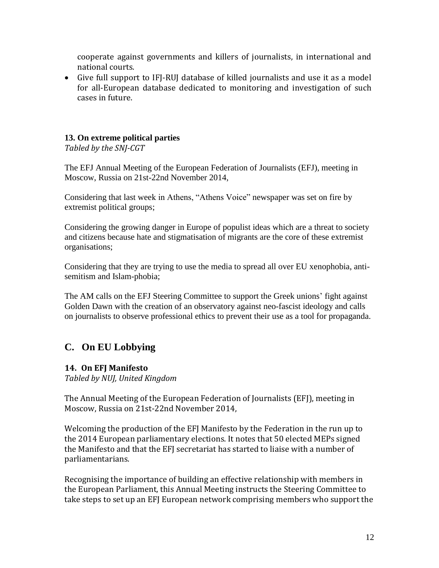cooperate against governments and killers of journalists, in international and national courts.

 Give full support to IFJ-RUJ database of killed journalists and use it as a model for all-European database dedicated to monitoring and investigation of such cases in future.

# **13. On extreme political parties**

*Tabled by the SNJ-CGT*

The EFJ Annual Meeting of the European Federation of Journalists (EFJ), meeting in Moscow, Russia on 21st-22nd November 2014,

Considering that last week in Athens, "Athens Voice" newspaper was set on fire by extremist political groups;

Considering the growing danger in Europe of populist ideas which are a threat to society and citizens because hate and stigmatisation of migrants are the core of these extremist organisations;

Considering that they are trying to use the media to spread all over EU xenophobia, antisemitism and Islam-phobia;

The AM calls on the EFJ Steering Committee to support the Greek unions' fight against Golden Dawn with the creation of an observatory against neo-fascist ideology and calls on journalists to observe professional ethics to prevent their use as a tool for propaganda.

# **C. On EU Lobbying**

# **14. On EFJ Manifesto**

*Tabled by NUJ, United Kingdom*

The Annual Meeting of the European Federation of Journalists (EFJ), meeting in Moscow, Russia on 21st-22nd November 2014,

Welcoming the production of the EFJ Manifesto by the Federation in the run up to the 2014 European parliamentary elections. It notes that 50 elected MEPs signed the Manifesto and that the EFJ secretariat has started to liaise with a number of parliamentarians.

Recognising the importance of building an effective relationship with members in the European Parliament, this Annual Meeting instructs the Steering Committee to take steps to set up an EFJ European network comprising members who support the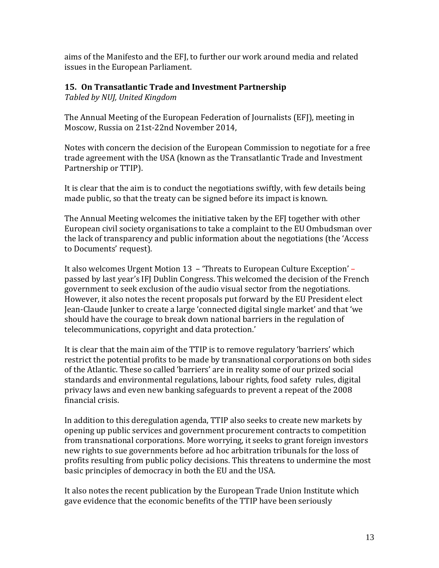aims of the Manifesto and the EFJ, to further our work around media and related issues in the European Parliament.

## **15. On Transatlantic Trade and Investment Partnership**

*Tabled by NUJ, United Kingdom*

The Annual Meeting of the European Federation of Journalists (EFJ), meeting in Moscow, Russia on 21st-22nd November 2014,

Notes with concern the decision of the European Commission to negotiate for a free trade agreement with the USA (known as the Transatlantic Trade and Investment Partnership or TTIP).

It is clear that the aim is to conduct the negotiations swiftly, with few details being made public, so that the treaty can be signed before its impact is known.

The Annual Meeting welcomes the initiative taken by the EFJ together with other European civil society organisations to take a complaint to the EU Ombudsman over the lack of transparency and public information about the negotiations (the 'Access to Documents' request).

It also welcomes Urgent Motion 13 – 'Threats to European Culture Exception' – passed by last year's IFJ Dublin Congress. This welcomed the decision of the French government to seek exclusion of the audio visual sector from the negotiations. However, it also notes the recent proposals put forward by the EU President elect Jean-Claude Junker to create a large 'connected digital single market' and that 'we should have the courage to break down national barriers in the regulation of telecommunications, copyright and data protection.'

It is clear that the main aim of the TTIP is to remove regulatory 'barriers' which restrict the potential profits to be made by transnational corporations on both sides of the Atlantic. These so called 'barriers' are in reality some of our prized social standards and environmental regulations, labour rights, food safety rules, digital privacy laws and even new banking safeguards to prevent a repeat of the 2008 financial crisis.

In addition to this deregulation agenda, TTIP also seeks to create new markets by opening up public services and government procurement contracts to competition from transnational corporations. More worrying, it seeks to grant foreign investors new rights to sue governments before ad hoc arbitration tribunals for the loss of profits resulting from public policy decisions. This threatens to undermine the most basic principles of democracy in both the EU and the USA.

It also notes the recent publication by the European Trade Union Institute which gave evidence that the economic benefits of the TTIP have been seriously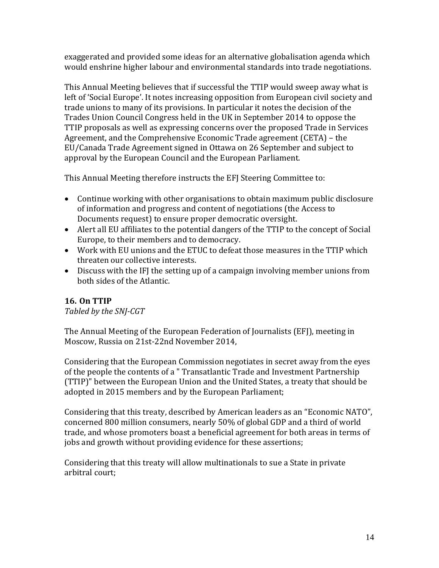exaggerated and provided some ideas for an alternative globalisation agenda which would enshrine higher labour and environmental standards into trade negotiations.

This Annual Meeting believes that if successful the TTIP would sweep away what is left of 'Social Europe'. It notes increasing opposition from European civil society and trade unions to many of its provisions. In particular it notes the decision of the Trades Union Council Congress held in the UK in September 2014 to oppose the TTIP proposals as well as expressing concerns over the proposed Trade in Services Agreement, and the Comprehensive Economic Trade agreement (CETA) – the EU/Canada Trade Agreement signed in Ottawa on 26 September and subject to approval by the European Council and the European Parliament.

This Annual Meeting therefore instructs the EFJ Steering Committee to:

- Continue working with other organisations to obtain maximum public disclosure of information and progress and content of negotiations (the Access to Documents request) to ensure proper democratic oversight.
- Alert all EU affiliates to the potential dangers of the TTIP to the concept of Social Europe, to their members and to democracy.
- Work with EU unions and the ETUC to defeat those measures in the TTIP which threaten our collective interests.
- Discuss with the IFJ the setting up of a campaign involving member unions from both sides of the Atlantic.

# **16. On TTIP**

*Tabled by the SNJ-CGT*

The Annual Meeting of the European Federation of Journalists (EFJ), meeting in Moscow, Russia on 21st-22nd November 2014,

Considering that the European Commission negotiates in secret away from the eyes of the people the contents of a " Transatlantic Trade and Investment Partnership (TTIP)" between the European Union and the United States, a treaty that should be adopted in 2015 members and by the European Parliament;

Considering that this treaty, described by American leaders as an "Economic NATO", concerned 800 million consumers, nearly 50% of global GDP and a third of world trade, and whose promoters boast a beneficial agreement for both areas in terms of jobs and growth without providing evidence for these assertions;

Considering that this treaty will allow multinationals to sue a State in private arbitral court;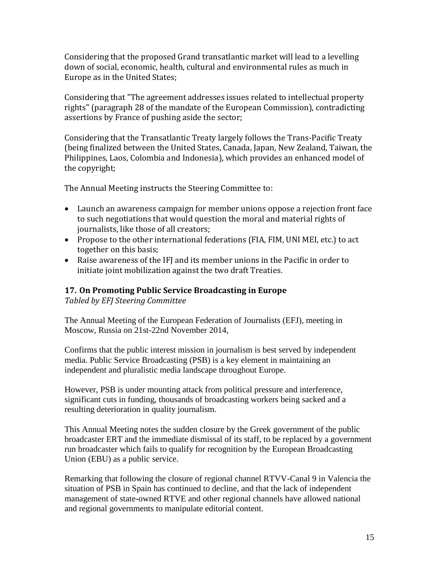Considering that the proposed Grand transatlantic market will lead to a levelling down of social, economic, health, cultural and environmental rules as much in Europe as in the United States;

Considering that "The agreement addresses issues related to intellectual property rights" (paragraph 28 of the mandate of the European Commission), contradicting assertions by France of pushing aside the sector;

Considering that the Transatlantic Treaty largely follows the Trans-Pacific Treaty (being finalized between the United States, Canada, Japan, New Zealand, Taiwan, the Philippines, Laos, Colombia and Indonesia), which provides an enhanced model of the copyright;

The Annual Meeting instructs the Steering Committee to:

- Launch an awareness campaign for member unions oppose a rejection front face to such negotiations that would question the moral and material rights of journalists, like those of all creators;
- Propose to the other international federations (FIA, FIM, UNI MEI, etc.) to act together on this basis;
- Raise awareness of the IFJ and its member unions in the Pacific in order to initiate joint mobilization against the two draft Treaties.

# **17. On Promoting Public Service Broadcasting in Europe**

*Tabled by EFJ Steering Committee*

The Annual Meeting of the European Federation of Journalists (EFJ), meeting in Moscow, Russia on 21st-22nd November 2014,

Confirms that the public interest mission in journalism is best served by independent media. Public Service Broadcasting (PSB) is a key element in maintaining an independent and pluralistic media landscape throughout Europe.

However, PSB is under mounting attack from political pressure and interference, significant cuts in funding, thousands of broadcasting workers being sacked and a resulting deterioration in quality journalism.

This Annual Meeting notes the sudden closure by the Greek government of the public broadcaster ERT and the immediate dismissal of its staff, to be replaced by a government run broadcaster which fails to qualify for recognition by the European Broadcasting Union (EBU) as a public service.

Remarking that following the closure of regional channel RTVV-Canal 9 in Valencia the situation of PSB in Spain has continued to decline, and that the lack of independent management of state-owned RTVE and other regional channels have allowed national and regional governments to manipulate editorial content.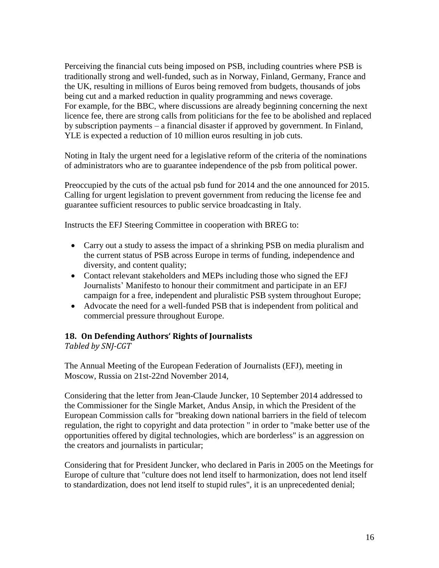Perceiving the financial cuts being imposed on PSB, including countries where PSB is traditionally strong and well-funded, such as in Norway, Finland, Germany, France and the UK, resulting in millions of Euros being removed from budgets, thousands of jobs being cut and a marked reduction in quality programming and news coverage. For example, for the BBC, where discussions are already beginning concerning the next licence fee, there are strong calls from politicians for the fee to be abolished and replaced by subscription payments – a financial disaster if approved by government. In Finland, YLE is expected a reduction of 10 million euros resulting in job cuts.

Noting in Italy the urgent need for a legislative reform of the criteria of the nominations of administrators who are to guarantee independence of the psb from political power.

Preoccupied by the cuts of the actual psb fund for 2014 and the one announced for 2015. Calling for urgent legislation to prevent government from reducing the license fee and guarantee sufficient resources to public service broadcasting in Italy.

Instructs the EFJ Steering Committee in cooperation with BREG to:

- Carry out a study to assess the impact of a shrinking PSB on media pluralism and the current status of PSB across Europe in terms of funding, independence and diversity, and content quality;
- Contact relevant stakeholders and MEPs including those who signed the EFJ Journalists' Manifesto to honour their commitment and participate in an EFJ campaign for a free, independent and pluralistic PSB system throughout Europe;
- Advocate the need for a well-funded PSB that is independent from political and commercial pressure throughout Europe.

#### **18. On Defending Authors' Rights of Journalists**

*Tabled by SNJ-CGT*

The Annual Meeting of the European Federation of Journalists (EFJ), meeting in Moscow, Russia on 21st-22nd November 2014,

Considering that the letter from Jean-Claude Juncker, 10 September 2014 addressed to the Commissioner for the Single Market, Andus Ansip, in which the President of the European Commission calls for "breaking down national barriers in the field of telecom regulation, the right to copyright and data protection " in order to "make better use of the opportunities offered by digital technologies, which are borderless" is an aggression on the creators and journalists in particular;

Considering that for President Juncker, who declared in Paris in 2005 on the Meetings for Europe of culture that "culture does not lend itself to harmonization, does not lend itself to standardization, does not lend itself to stupid rules", it is an unprecedented denial;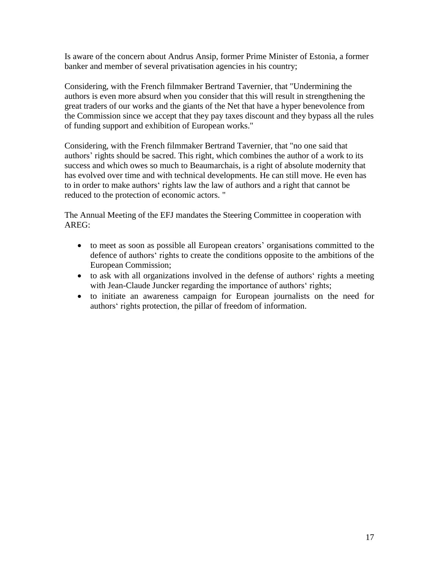Is aware of the concern about Andrus Ansip, former Prime Minister of Estonia, a former banker and member of several privatisation agencies in his country;

Considering, with the French filmmaker Bertrand Tavernier, that "Undermining the authors is even more absurd when you consider that this will result in strengthening the great traders of our works and the giants of the Net that have a hyper benevolence from the Commission since we accept that they pay taxes discount and they bypass all the rules of funding support and exhibition of European works."

Considering, with the French filmmaker Bertrand Tavernier, that "no one said that authors' rights should be sacred. This right, which combines the author of a work to its success and which owes so much to Beaumarchais, is a right of absolute modernity that has evolved over time and with technical developments. He can still move. He even has to in order to make authors' rights law the law of authors and a right that cannot be reduced to the protection of economic actors. "

The Annual Meeting of the EFJ mandates the Steering Committee in cooperation with AREG:

- to meet as soon as possible all European creators' organisations committed to the defence of authors' rights to create the conditions opposite to the ambitions of the European Commission;
- to ask with all organizations involved in the defense of authors' rights a meeting with Jean-Claude Juncker regarding the importance of authors' rights;
- to initiate an awareness campaign for European journalists on the need for authors' rights protection, the pillar of freedom of information.